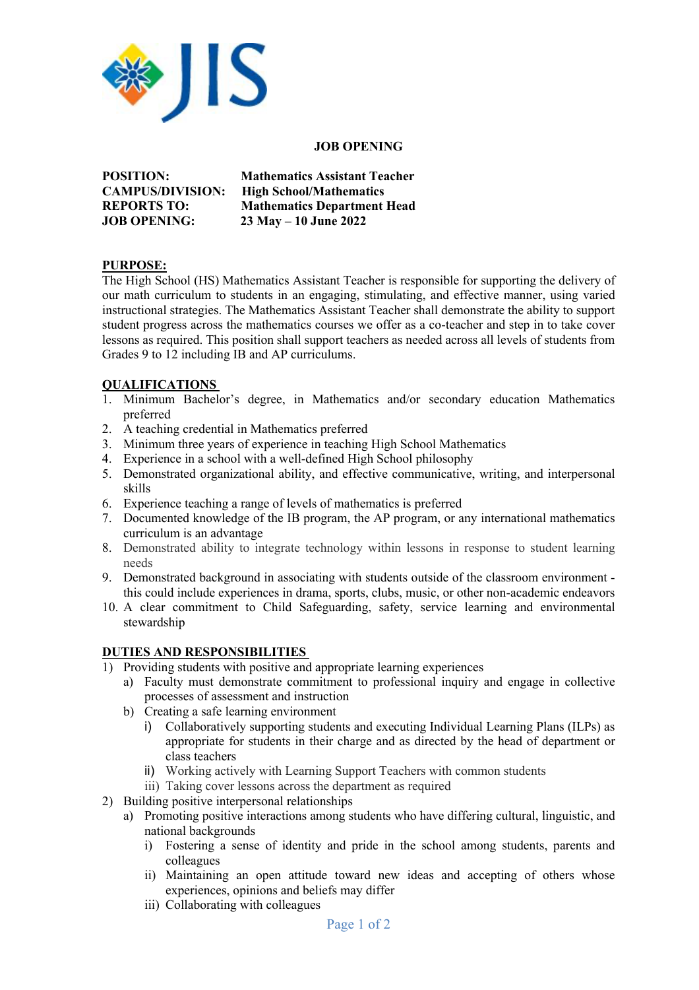

#### **JOB OPENING**

**POSITION: Mathematics Assistant Teacher CAMPUS/DIVISION: High School/Mathematics REPORTS TO: Mathematics Department Head JOB OPENING: 23 May – 10 June 2022**

#### **PURPOSE:**

The High School (HS) Mathematics Assistant Teacher is responsible for supporting the delivery of our math curriculum to students in an engaging, stimulating, and effective manner, using varied instructional strategies. The Mathematics Assistant Teacher shall demonstrate the ability to support student progress across the mathematics courses we offer as a co-teacher and step in to take cover lessons as required. This position shall support teachers as needed across all levels of students from Grades 9 to 12 including IB and AP curriculums.

## **QUALIFICATIONS**

- 1. Minimum Bachelor's degree, in Mathematics and/or secondary education Mathematics preferred
- 2. A teaching credential in Mathematics preferred
- 3. Minimum three years of experience in teaching High School Mathematics
- 4. Experience in a school with a well-defined High School philosophy
- 5. Demonstrated organizational ability, and effective communicative, writing, and interpersonal skills
- 6. Experience teaching a range of levels of mathematics is preferred
- 7. Documented knowledge of the IB program, the AP program, or any international mathematics curriculum is an advantage
- 8. Demonstrated ability to integrate technology within lessons in response to student learning needs
- 9. Demonstrated background in associating with students outside of the classroom environment this could include experiences in drama, sports, clubs, music, or other non-academic endeavors
- 10. A clear commitment to Child Safeguarding, safety, service learning and environmental stewardship

## **DUTIES AND RESPONSIBILITIES**

- 1) Providing students with positive and appropriate learning experiences
	- a) Faculty must demonstrate commitment to professional inquiry and engage in collective processes of assessment and instruction
	- b) Creating a safe learning environment
		- i) Collaboratively supporting students and executing Individual Learning Plans (ILPs) as appropriate for students in their charge and as directed by the head of department or class teachers
		- ii) Working actively with Learning Support Teachers with common students
		- iii) Taking cover lessons across the department as required
- 2) Building positive interpersonal relationships
	- a) Promoting positive interactions among students who have differing cultural, linguistic, and national backgrounds
		- i) Fostering a sense of identity and pride in the school among students, parents and colleagues
		- ii) Maintaining an open attitude toward new ideas and accepting of others whose experiences, opinions and beliefs may differ
		- iii) Collaborating with colleagues